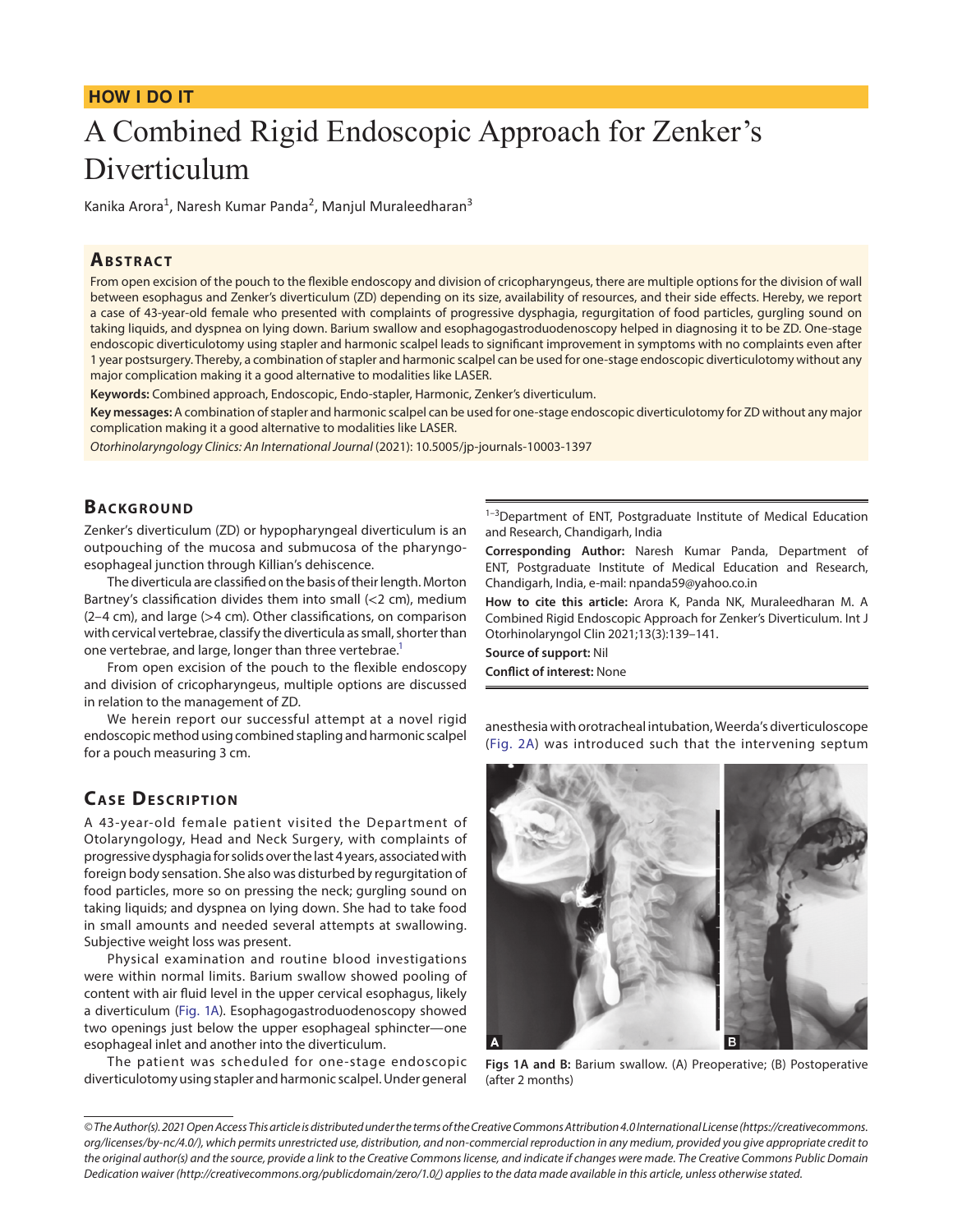## **HOW I DO IT**

# A Combined Rigid Endoscopic Approach for Zenker's Diverticulum

Kanika Arora<sup>1</sup>, Naresh Kumar Panda<sup>2</sup>, Manjul Muraleedharan<sup>3</sup>

#### **ABSTRACT**

From open excision of the pouch to the flexible endoscopy and division of cricopharyngeus, there are multiple options for the division of wall between esophagus and Zenker's diverticulum (ZD) depending on its size, availability of resources, and their side effects. Hereby, we report a case of 43-year-old female who presented with complaints of progressive dysphagia, regurgitation of food particles, gurgling sound on taking liquids, and dyspnea on lying down. Barium swallow and esophagogastroduodenoscopy helped in diagnosing it to be ZD. One-stage endoscopic diverticulotomy using stapler and harmonic scalpel leads to significant improvement in symptoms with no complaints even after 1 year postsurgery. Thereby, a combination of stapler and harmonic scalpel can be used for one-stage endoscopic diverticulotomy without any major complication making it a good alternative to modalities like LASER.

**Keywords:** Combined approach, Endoscopic, Endo-stapler, Harmonic, Zenker's diverticulum.

**Key messages:** A combination of stapler and harmonic scalpel can be used for one-stage endoscopic diverticulotomy for ZD without any major complication making it a good alternative to modalities like LASER.

*Otorhinolaryngology Clinics: An International Journal* (2021): 10.5005/jp-journals-10003-1397

## **BACKGROUND**

Zenker's diverticulum (ZD) or hypopharyngeal diverticulum is an outpouching of the mucosa and submucosa of the pharyngoesophageal junction through Killian's dehiscence.

The diverticula are classified on the basis of their length. Morton Bartney's classification divides them into small (<2 cm), medium (2–4 cm), and large (>4 cm). Other classifications, on comparison with cervical vertebrae, classify the diverticula as small, shorter than one vertebrae, and large, longer than three vertebrae.<sup>1</sup>

From open excision of the pouch to the flexible endoscopy and division of cricopharyngeus, multiple options are discussed in relation to the management of ZD.

We herein report our successful attempt at a novel rigid endoscopic method using combined stapling and harmonic scalpel for a pouch measuring 3 cm.

# **CASE DESCRIPTION**

A 43-year-old female patient visited the Department of Otolaryngology, Head and Neck Surgery, with complaints of progressive dysphagia for solids over the last 4 years, associated with foreign body sensation. She also was disturbed by regurgitation of food particles, more so on pressing the neck; gurgling sound on taking liquids; and dyspnea on lying down. She had to take food in small amounts and needed several attempts at swallowing. Subjective weight loss was present.

Physical examination and routine blood investigations were within normal limits. Barium swallow showed pooling of content with air fluid level in the upper cervical esophagus, likely a diverticulum ([Fig. 1A\)](#page-0-0). Esophagogastroduodenoscopy showed two openings just below the upper esophageal sphincter—one esophageal inlet and another into the diverticulum.

The patient was scheduled for one-stage endoscopic diverticulotomy using stapler and harmonic scalpel. Under general

<sup>1-3</sup>Department of ENT, Postgraduate Institute of Medical Education and Research, Chandigarh, India

**Corresponding Author:** Naresh Kumar Panda, Department of ENT, Postgraduate Institute of Medical Education and Research, Chandigarh, India, e-mail: npanda59@yahoo.co.in

**How to cite this article:** Arora K, Panda NK, Muraleedharan M. A Combined Rigid Endoscopic Approach for Zenker's Diverticulum. Int J Otorhinolaryngol Clin 2021;13(3):139–141.

**Source of support:** Nil **Conflict of interest:** None

anesthesia with orotracheal intubation, Weerda's diverticuloscope ([Fig. 2A\)](#page-1-1) was introduced such that the intervening septum

<span id="page-0-0"></span>

**Figs 1A and B:** Barium swallow. (A) Preoperative; (B) Postoperative (after 2 months)

*<sup>©</sup> The Author(s). 2021 Open Access This article is distributed under the terms of the Creative Commons Attribution 4.0 International License ([https://creativecommons.](Fig. 2C)  [org/licenses/by-nc/4.0/](Fig. 2C)), which permits unrestricted use, distribution, and non-commercial reproduction in any medium, provided you give appropriate credit to the original author(s) and the source, provide a link to the Creative Commons license, and indicate if changes were made. The Creative Commons Public Domain Dedication waiver ([http://creativecommons.org/publicdomain/zero/1.0/\)](http://creativecommons.org/publicdomain/zero/1.0/) applies to the data made available in this article, unless otherwise stated.*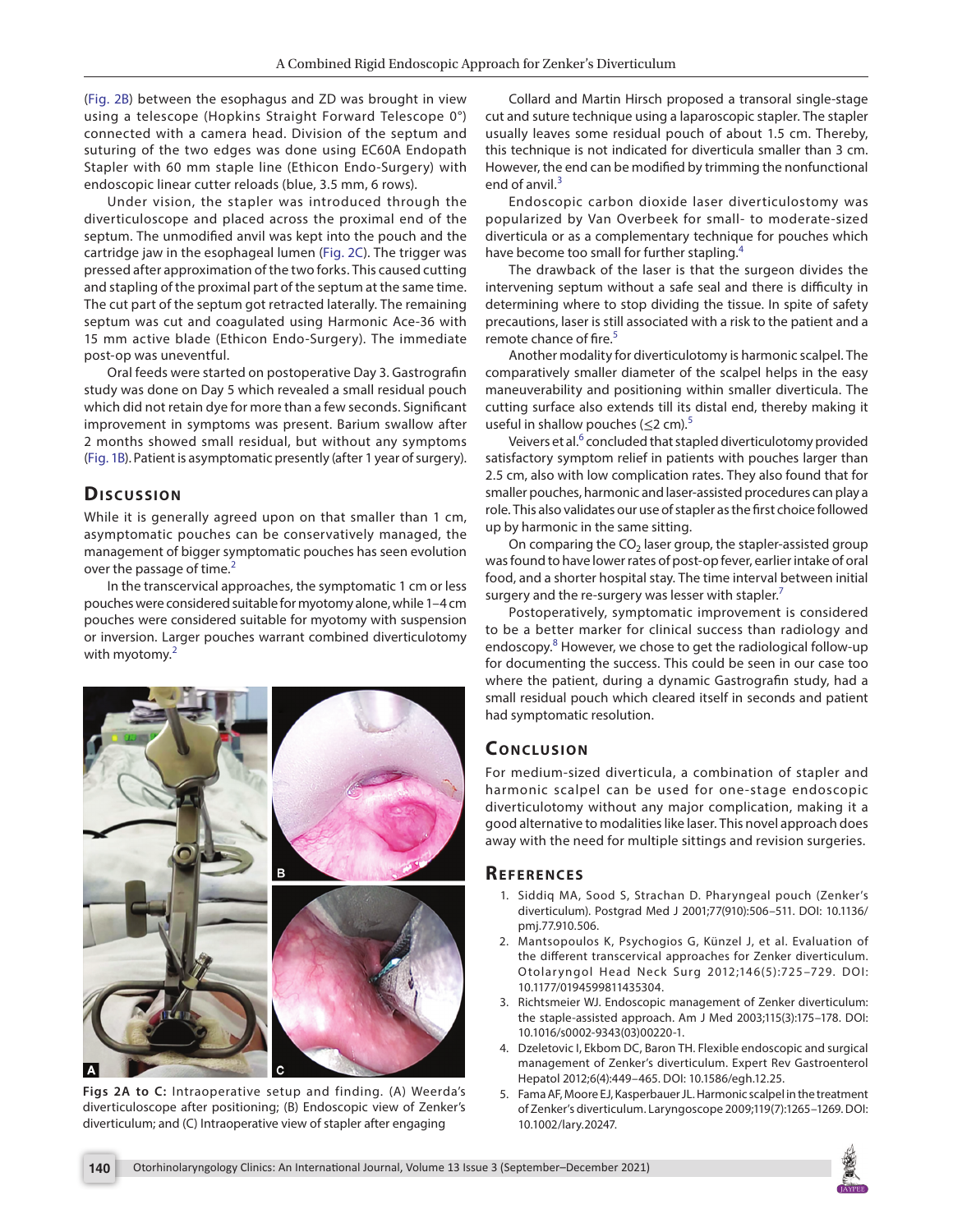([Fig. 2B\)](#page-1-1) between the esophagus and ZD was brought in view using a telescope (Hopkins Straight Forward Telescope 0°) connected with a camera head. Division of the septum and suturing of the two edges was done using EC60A Endopath Stapler with 60 mm staple line (Ethicon Endo-Surgery) with endoscopic linear cutter reloads (blue, 3.5 mm, 6 rows).

Under vision, the stapler was introduced through the diverticuloscope and placed across the proximal end of the septum. The unmodified anvil was kept into the pouch and the cartridge jaw in the esophageal lumen ([Fig. 2C\)](#page-1-1). The trigger was pressed after approximation of the two forks. This caused cutting and stapling of the proximal part of the septum at the same time. The cut part of the septum got retracted laterally. The remaining septum was cut and coagulated using Harmonic Ace-36 with 15 mm active blade (Ethicon Endo-Surgery). The immediate post-op was uneventful.

Oral feeds were started on postoperative Day 3. Gastrografin study was done on Day 5 which revealed a small residual pouch which did not retain dye for more than a few seconds. Significant improvement in symptoms was present. Barium swallow after 2 months showed small residual, but without any symptoms [\(Fig. 1B](#page-0-0)). Patient is asymptomatic presently (after 1 year of surgery).

## **Discussion**

While it is generally agreed upon on that smaller than 1 cm, asymptomatic pouches can be conservatively managed, the management of bigger symptomatic pouches has seen evolution over the passage of time. $2$ 

In the transcervical approaches, the symptomatic 1 cm or less pouches were considered suitable for myotomy alone, while 1–4 cm pouches were considered suitable for myotomy with suspension or inversion. Larger pouches warrant combined diverticulotomy with myotomy.<sup>[2](#page-1-2)</sup>



<span id="page-1-1"></span>**Figs 2A to C:** Intraoperative setup and finding. (A) Weerda's diverticuloscope after positioning; (B) Endoscopic view of Zenker's diverticulum; and (C) Intraoperative view of stapler after engaging

Collard and Martin Hirsch proposed a transoral single-stage cut and suture technique using a laparoscopic stapler. The stapler usually leaves some residual pouch of about 1.5 cm. Thereby, this technique is not indicated for diverticula smaller than 3 cm. However, the end can be modified by trimming the nonfunctional end of anvil. $3$ 

Endoscopic carbon dioxide laser diverticulostomy was popularized by Van Overbeek for small- to moderate-sized diverticula or as a complementary technique for pouches which have become too small for further stapling.<sup>[4](#page-1-4)</sup>

The drawback of the laser is that the surgeon divides the intervening septum without a safe seal and there is difficulty in determining where to stop dividing the tissue. In spite of safety precautions, laser is still associated with a risk to the patient and a remote chance of fire.<sup>[5](#page-1-5)</sup>

Another modality for diverticulotomy is harmonic scalpel. The comparatively smaller diameter of the scalpel helps in the easy maneuverability and positioning within smaller diverticula. The cutting surface also extends till its distal end, thereby making it useful in shallow pouches  $(< 2 cm)^5$  $(< 2 cm)^5$ 

Veivers et al.<sup>[6](#page-2-0)</sup> concluded that stapled diverticulotomy provided satisfactory symptom relief in patients with pouches larger than 2.5 cm, also with low complication rates. They also found that for smaller pouches, harmonic and laser-assisted procedures can play a role. This also validates our use of stapler as the first choice followed up by harmonic in the same sitting.

On comparing the  $CO<sub>2</sub>$  laser group, the stapler-assisted group was found to have lower rates of post-op fever, earlier intake of oral food, and a shorter hospital stay. The time interval between initial surgery and the re-surgery was lesser with stapler.<sup>7</sup>

Postoperatively, symptomatic improvement is considered to be a better marker for clinical success than radiology and endoscopy.<sup>[8](#page-2-2)</sup> However, we chose to get the radiological follow-up for documenting the success. This could be seen in our case too where the patient, during a dynamic Gastrografin study, had a small residual pouch which cleared itself in seconds and patient had symptomatic resolution.

### **CONCLUSION**

For medium-sized diverticula, a combination of stapler and harmonic scalpel can be used for one-stage endoscopic diverticulotomy without any major complication, making it a good alternative to modalities like laser. This novel approach does away with the need for multiple sittings and revision surgeries.

#### **Re f e r e n c e s**

- <span id="page-1-0"></span>1. Siddiq MA, Sood S, Strachan D. Pharyngeal pouch (Zenker's diverticulum). Postgrad Med J 2001;77(910):506–511. DOI: 10.1136/ pmj.77.910.506.
- <span id="page-1-2"></span>2. Mantsopoulos K, Psychogios G, Künzel J, et al. Evaluation of the different transcervical approaches for Zenker diverticulum. Otolaryngol Head Neck Surg 2012;146(5):725-729. DOI: 10.1177/0194599811435304.
- <span id="page-1-3"></span>3. Richtsmeier WJ. Endoscopic management of Zenker diverticulum: the staple-assisted approach. Am J Med 2003;115(3):175–178. DOI: 10.1016/s0002-9343(03)00220-1.
- <span id="page-1-4"></span>4. Dzeletovic I, Ekbom DC, Baron TH. Flexible endoscopic and surgical management of Zenker's diverticulum. Expert Rev Gastroenterol Hepatol 2012;6(4):449–465. DOI: 10.1586/egh.12.25.
- <span id="page-1-5"></span>5. Fama AF, Moore EJ, Kasperbauer JL. Harmonic scalpel in the treatment of Zenker's diverticulum. Laryngoscope 2009;119(7):1265–1269. DOI: 10.1002/lary.20247.